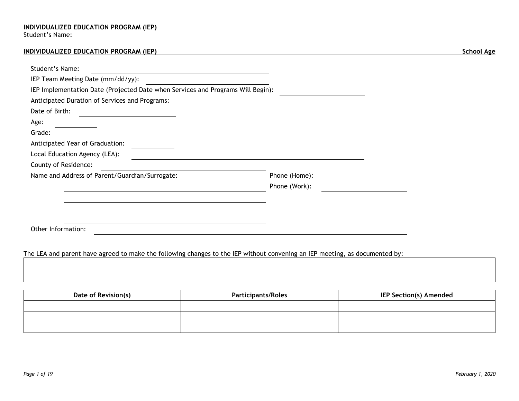## **INDIVIDUALIZED EDUCATION PROGRAM (IEP) School Age**

| Student's Name:                                                                 |               |  |
|---------------------------------------------------------------------------------|---------------|--|
| IEP Team Meeting Date (mm/dd/yy):                                               |               |  |
| IEP Implementation Date (Projected Date when Services and Programs Will Begin): |               |  |
| Anticipated Duration of Services and Programs:                                  |               |  |
| Date of Birth:                                                                  |               |  |
| Age:                                                                            |               |  |
| Grade:                                                                          |               |  |
| Anticipated Year of Graduation:                                                 |               |  |
| Local Education Agency (LEA):                                                   |               |  |
| County of Residence:                                                            |               |  |
| Name and Address of Parent/Guardian/Surrogate:                                  | Phone (Home): |  |
|                                                                                 | Phone (Work): |  |
|                                                                                 |               |  |
|                                                                                 |               |  |
|                                                                                 |               |  |
| Other Information:                                                              |               |  |

# The LEA and parent have agreed to make the following changes to the IEP without convening an IEP meeting, as documented by:

| Date of Revision(s) | <b>Participants/Roles</b> | <b>IEP Section(s) Amended</b> |
|---------------------|---------------------------|-------------------------------|
|                     |                           |                               |
|                     |                           |                               |
|                     |                           |                               |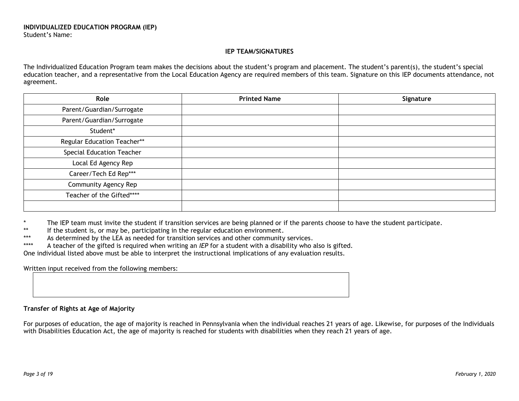## **IEP TEAM/SIGNATURES**

The Individualized Education Program team makes the decisions about the student's program and placement. The student's parent(s), the student's special education teacher, and a representative from the Local Education Agency are required members of this team. Signature on this IEP documents attendance, not agreement.

| Role                        | <b>Printed Name</b> | Signature |
|-----------------------------|---------------------|-----------|
| Parent/Guardian/Surrogate   |                     |           |
| Parent/Guardian/Surrogate   |                     |           |
| Student*                    |                     |           |
| Regular Education Teacher** |                     |           |
| Special Education Teacher   |                     |           |
| Local Ed Agency Rep         |                     |           |
| Career/Tech Ed Rep***       |                     |           |
| Community Agency Rep        |                     |           |
| Teacher of the Gifted****   |                     |           |
|                             |                     |           |

\* The IEP team must invite the student if transition services are being planned or if the parents choose to have the student participate.

If the student is, or may be, participating in the regular education environment.

\*\*\* As determined by the LEA as needed for transition services and other community services.<br>\*\*\*\* A teacher of the gifted is required when writing an IEP for a student with a disability who is

A teacher of the gifted is required when writing an *IEP* for a student with a disability who also is gifted.

One individual listed above must be able to interpret the instructional implications of any evaluation results.

Written input received from the following members:

## **Transfer of Rights at Age of Majority**

For purposes of education, the age of majority is reached in Pennsylvania when the individual reaches 21 years of age. Likewise, for purposes of the Individuals with Disabilities Education Act, the age of majority is reached for students with disabilities when they reach 21 years of age.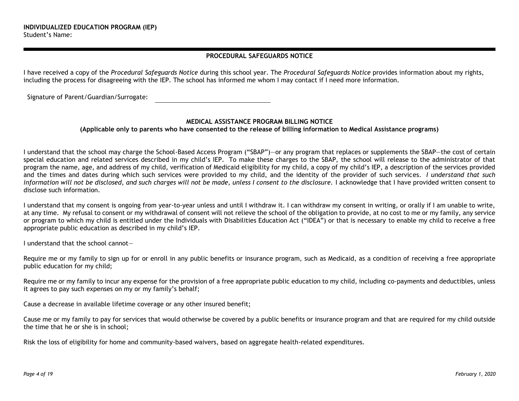## **PROCEDURAL SAFEGUARDS NOTICE**

I have received a copy of the *Procedural Safeguards Notice* during this school year. The *Procedural Safeguards Notice* provides information about my rights, including the process for disagreeing with the IEP. The school has informed me whom I may contact if I need more information.

Signature of Parent/Guardian/Surrogate:

## **MEDICAL ASSISTANCE PROGRAM BILLING NOTICE**

**(Applicable only to parents who have consented to the release of billing information to Medical Assistance programs)**

I understand that the school may charge the School-Based Access Program ("SBAP")—or any program that replaces or supplements the SBAP—the cost of certain special education and related services described in my child's IEP. To make these charges to the SBAP, the school will release to the administrator of that program the name, age, and address of my child, verification of Medicaid eligibility for my child, a copy of my child's IEP, a description of the services provided and the times and dates during which such services were provided to my child, and the identity of the provider of such services. *I understand that such information will not be disclosed, and such charges will not be made, unless I consent to the disclosure.* I acknowledge that I have provided written consent to disclose such information.

I understand that my consent is ongoing from year-to-year unless and until I withdraw it. I can withdraw my consent in writing, or orally if I am unable to write, at any time. My refusal to consent or my withdrawal of consent will not relieve the school of the obligation to provide, at no cost to me or my family, any service or program to which my child is entitled under the Individuals with Disabilities Education Act ("IDEA") or that is necessary to enable my child to receive a free appropriate public education as described in my child's IEP.

I understand that the school cannot—

Require me or my family to sign up for or enroll in any public benefits or insurance program, such as Medicaid, as a condition of receiving a free appropriate public education for my child;

Require me or my family to incur any expense for the provision of a free appropriate public education to my child, including co-payments and deductibles, unless it agrees to pay such expenses on my or my family's behalf;

Cause a decrease in available lifetime coverage or any other insured benefit;

Cause me or my family to pay for services that would otherwise be covered by a public benefits or insurance program and that are required for my child outside the time that he or she is in school;

Risk the loss of eligibility for home and community-based waivers, based on aggregate health-related expenditures.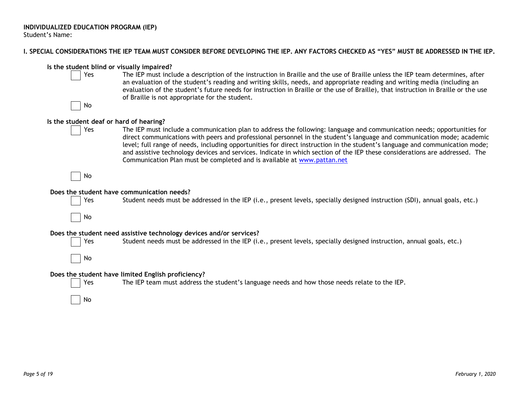## **I. SPECIAL CONSIDERATIONS THE IEP TEAM MUST CONSIDER BEFORE DEVELOPING THE IEP. ANY FACTORS CHECKED AS "YES" MUST BE ADDRESSED IN THE IEP.**

# **Is the student blind or visually impaired?**

Yes The IEP must include a description of the instruction in Braille and the use of Braille unless the IEP team determines, after an evaluation of the student's reading and writing skills, needs, and appropriate reading and writing media (including an evaluation of the student's future needs for instruction in Braille or the use of Braille), that instruction in Braille or the use of Braille is not appropriate for the student.



## **Is the student deaf or hard of hearing?**

Yes The IEP must include a communication plan to address the following: language and communication needs; opportunities for direct communications with peers and professional personnel in the student's language and communication mode; academic level; full range of needs, including opportunities for direct instruction in the student's language and communication mode; and assistive technology devices and services. Indicate in which section of the IEP these considerations are addressed. The Communication Plan must be completed and is available at [www.pattan.net](http://www.pattan.net/)

No

#### **Does the student have communication needs?**



Yes Student needs must be addressed in the IEP (i.e., present levels, specially designed instruction (SDI), annual goals, etc.)

No

#### **Does the student need assistive technology devices and/or services?**



Yes Student needs must be addressed in the IEP (i.e., present levels, specially designed instruction, annual goals, etc.)

No

## **Does the student have limited English proficiency?**

Yes The IEP team must address the student's language needs and how those needs relate to the IEP.

No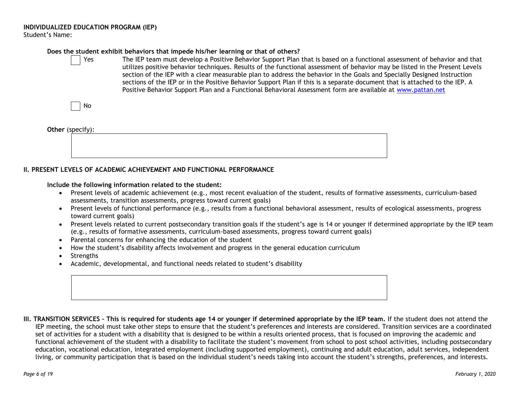# **Does the student exhibit behaviors that impede his/her learning or that of others?**

Yes The IEP team must develop a Positive Behavior Support Plan that is based on a functional assessment of behavior and that utilizes positive behavior techniques. Results of the functional assessment of behavior may be listed in the Present Levels section of the IEP with a clear measurable plan to address the behavior in the Goals and Specially Designed Instruction sections of the IEP or in the Positive Behavior Support Plan if this is a separate document that is attached to the IEP. A Positive Behavior Support Plan and a Functional Behavioral Assessment form are available at [www.pattan.net](http://www.pattan.net/)

No

#### **Other** (specify):

# **II. PRESENT LEVELS OF ACADEMIC ACHIEVEMENT AND FUNCTIONAL PERFORMANCE**

#### **Include the following information related to the student:**

- Present levels of academic achievement (e.g., most recent evaluation of the student, results of formative assessments, curriculum-based assessments, transition assessments, progress toward current goals)
- Present levels of functional performance (e.g., results from a functional behavioral assessment, results of ecological assessments, progress toward current goals)
- Present levels related to current postsecondary transition goals if the student's age is 14 or younger if determined appropriate by the IEP team (e.g., results of formative assessments, curriculum-based assessments, progress toward current goals)
- Parental concerns for enhancing the education of the student
- How the student's disability affects involvement and progress in the general education curriculum
- Strengths
- Academic, developmental, and functional needs related to student's disability

**III. TRANSITION SERVICES – This is required for students age 14 or younger if determined appropriate by the IEP team.** If the student does not attend the IEP meeting, the school must take other steps to ensure that the student's preferences and interests are considered. Transition services are a coordinated set of activities for a student with a disability that is designed to be within a results oriented process, that is focused on improving the academic and functional achievement of the student with a disability to facilitate the student's movement from school to post school activities, including postsecondary education, vocational education, integrated employment (including supported employment), continuing and adult education, adult services, independent living, or community participation that is based on the individual student's needs taking into account the student's strengths, preferences, and interests.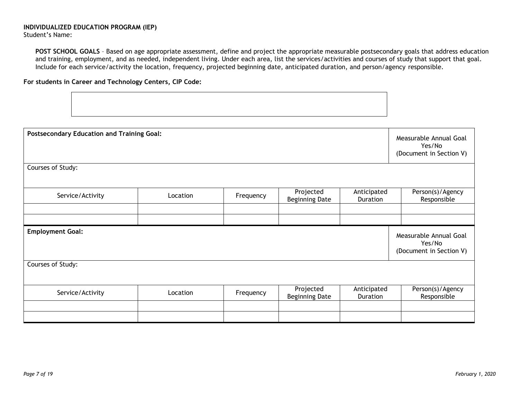**POST SCHOOL GOALS** – Based on age appropriate assessment, define and project the appropriate measurable postsecondary goals that address education and training, employment, and as needed, independent living. Under each area, list the services/activities and courses of study that support that goal. Include for each service/activity the location, frequency, projected beginning date, anticipated duration, and person/agency responsible.

## **For students in Career and Technology Centers, CIP Code:**

| <b>Postsecondary Education and Training Goal:</b> |          |           |                                    |                         | Measurable Annual Goal<br>Yes/No<br>(Document in Section V) |
|---------------------------------------------------|----------|-----------|------------------------------------|-------------------------|-------------------------------------------------------------|
| Courses of Study:                                 |          |           |                                    |                         |                                                             |
| Service/Activity                                  | Location | Frequency | Projected<br><b>Beginning Date</b> | Anticipated<br>Duration | Person(s)/Agency<br>Responsible                             |
|                                                   |          |           |                                    |                         |                                                             |
| <b>Employment Goal:</b>                           |          |           |                                    |                         | Measurable Annual Goal<br>Yes/No<br>(Document in Section V) |
| Courses of Study:                                 |          |           |                                    |                         |                                                             |
| Service/Activity                                  | Location | Frequency | Projected<br>Beginning Date        | Anticipated<br>Duration | Person(s)/Agency<br>Responsible                             |
|                                                   |          |           |                                    |                         |                                                             |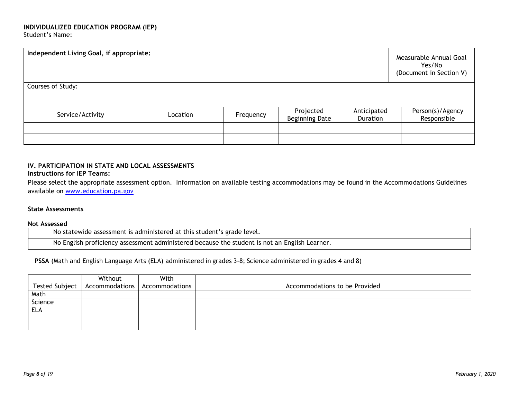| Independent Living Goal, if appropriate: | Measurable Annual Goal<br>Yes/No<br>(Document in Section V) |           |                                    |                         |                                 |
|------------------------------------------|-------------------------------------------------------------|-----------|------------------------------------|-------------------------|---------------------------------|
| Courses of Study:                        |                                                             |           |                                    |                         |                                 |
|                                          |                                                             |           |                                    |                         |                                 |
| Service/Activity                         | Location                                                    | Frequency | Projected<br><b>Beginning Date</b> | Anticipated<br>Duration | Person(s)/Agency<br>Responsible |
|                                          |                                                             |           |                                    |                         |                                 |
|                                          |                                                             |           |                                    |                         |                                 |

#### **IV. PARTICIPATION IN STATE AND LOCAL ASSESSMENTS Instructions for IEP Teams:**

Please select the appropriate assessment option. Information on available testing accommodations may be found in the Accommodations Guidelines available on [www.education.pa.gov](http://www.education.pa.gov/)

## **State Assessments**

#### **Not Assessed**

| s statewide assessment is administered at this student's grade level.<br>NΟ                                 |
|-------------------------------------------------------------------------------------------------------------|
| · English Learner.<br>No L<br>) English proficiency assessment administered because the student is not an I |

**PSSA** (Math and English Language Arts (ELA) administered in grades 3-8; Science administered in grades 4 and 8)

|            | Without | With                                             |                               |
|------------|---------|--------------------------------------------------|-------------------------------|
|            |         | Tested Subject   Accommodations   Accommodations | Accommodations to be Provided |
| Math       |         |                                                  |                               |
| Science    |         |                                                  |                               |
| <b>ELA</b> |         |                                                  |                               |
|            |         |                                                  |                               |
|            |         |                                                  |                               |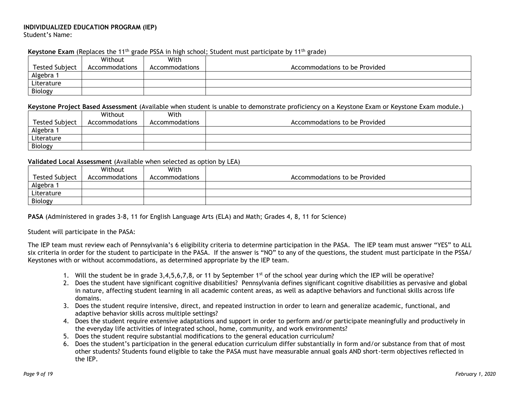## **Keystone Exam** (Replaces the 11<sup>th</sup> grade PSSA in high school; Student must participate by 11<sup>th</sup> grade)

|                       | Without        | With           |                               |
|-----------------------|----------------|----------------|-------------------------------|
| <b>Tested Subject</b> | Accommodations | Accommodations | Accommodations to be Provided |
| Algebra               |                |                |                               |
| Literature            |                |                |                               |
| Biology               |                |                |                               |

#### **Keystone Project Based Assessment** (Available when student is unable to demonstrate proficiency on a Keystone Exam or Keystone Exam module.)

|                       | Without        | With           |                               |
|-----------------------|----------------|----------------|-------------------------------|
| <b>Tested Subject</b> | Accommodations | Accommodations | Accommodations to be Provided |
| Algebra               |                |                |                               |
| Literature            |                |                |                               |
| Biology               |                |                |                               |

#### **Validated Local Assessment** (Available when selected as option by LEA)

|                       | Without        | With           |                               |
|-----------------------|----------------|----------------|-------------------------------|
| <b>Tested Subject</b> | Accommodations | Accommodations | Accommodations to be Provided |
| Algebra               |                |                |                               |
| Literature            |                |                |                               |
| Biology               |                |                |                               |

**PASA** (Administered in grades 3-8, 11 for English Language Arts (ELA) and Math; Grades 4, 8, 11 for Science)

#### Student will participate in the PASA:

The IEP team must review each of Pennsylvania's 6 eligibility criteria to determine participation in the PASA. The IEP team must answer "YES" to ALL six criteria in order for the student to participate in the PASA. If the answer is "NO" to any of the questions, the student must participate in the PSSA/ Keystones with or without accommodations, as determined appropriate by the IEP team.

- 1. Will the student be in grade  $3,4,5,6,7,8$ , or 11 by September 1<sup>st</sup> of the school year during which the IEP will be operative?
- 2. Does the student have significant cognitive disabilities? Pennsylvania defines significant cognitive disabilities as pervasive and global in nature, affecting student learning in all academic content areas, as well as adaptive behaviors and functional skills across life domains.
- 3. Does the student require intensive, direct, and repeated instruction in order to learn and generalize academic, functional, and adaptive behavior skills across multiple settings?
- 4. Does the student require extensive adaptations and support in order to perform and/or participate meaningfully and productively in the everyday life activities of integrated school, home, community, and work environments?
- 5. Does the student require substantial modifications to the general education curriculum?
- 6. Does the student's participation in the general education curriculum differ substantially in form and/or substance from that of most other students? Students found eligible to take the PASA must have measurable annual goals AND short-term objectives reflected in the IEP.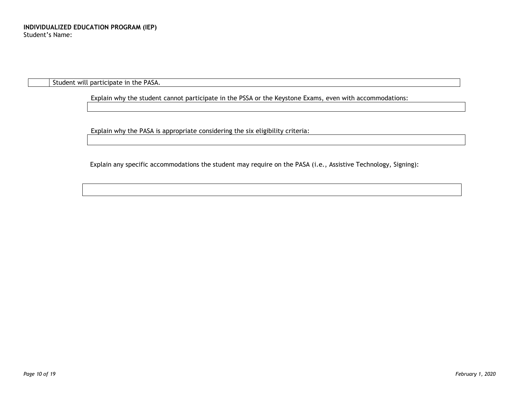Student will participate in the PASA.

Explain why the student cannot participate in the PSSA or the Keystone Exams, even with accommodations:

Explain why the PASA is appropriate considering the six eligibility criteria:

Explain any specific accommodations the student may require on the PASA (i.e., Assistive Technology, Signing):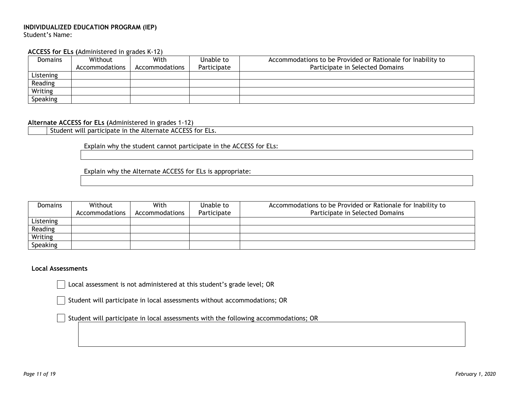#### **ACCESS for ELs (**Administered in grades K-12)

| <b>Domains</b> | Without        | With           | Unable to   | Accommodations to be Provided or Rationale for Inability to |
|----------------|----------------|----------------|-------------|-------------------------------------------------------------|
|                | Accommodations | Accommodations | Participate | Participate in Selected Domains                             |
| Listening      |                |                |             |                                                             |
| Reading        |                |                |             |                                                             |
| Writing        |                |                |             |                                                             |
| Speaking       |                |                |             |                                                             |

#### **Alternate ACCESS for ELs (**Administered in grades 1-12)

Student will participate in the Alternate ACCESS for ELs.

Explain why the student cannot participate in the ACCESS for ELs:

Explain why the Alternate ACCESS for ELs is appropriate:

| <b>Domains</b> | Without        | With           | Unable to   | Accommodations to be Provided or Rationale for Inability to |
|----------------|----------------|----------------|-------------|-------------------------------------------------------------|
|                | Accommodations | Accommodations | Participate | Participate in Selected Domains                             |
| Listening      |                |                |             |                                                             |
| Reading        |                |                |             |                                                             |
| Writing        |                |                |             |                                                             |
| Speaking       |                |                |             |                                                             |

#### **Local Assessments**

Local assessment is not administered at this student's grade level; OR

Student will participate in local assessments without accommodations; OR

Student will participate in local assessments with the following accommodations; OR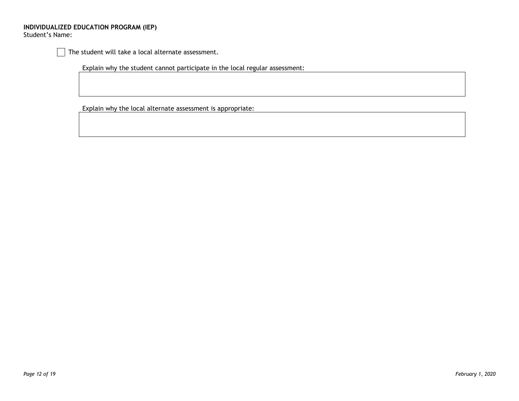The student will take a local alternate assessment.

Explain why the student cannot participate in the local regular assessment:

Explain why the local alternate assessment is appropriate: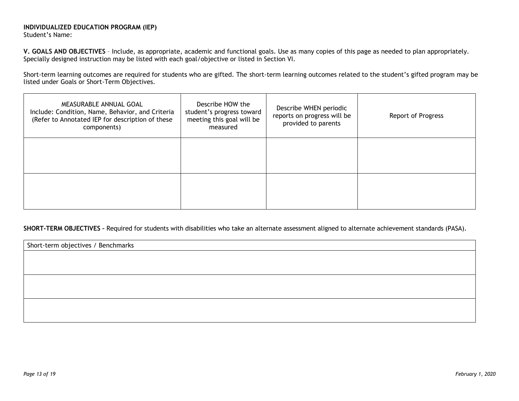**V. GOALS AND OBJECTIVES** – Include, as appropriate, academic and functional goals. Use as many copies of this page as needed to plan appropriately. Specially designed instruction may be listed with each goal/objective or listed in Section VI.

Short-term learning outcomes are required for students who are gifted. The short-term learning outcomes related to the student's gifted program may be listed under Goals or Short-Term Objectives.

| MEASURABLE ANNUAL GOAL<br>Include: Condition, Name, Behavior, and Criteria<br>(Refer to Annotated IEP for description of these<br>components) | Describe HOW the<br>student's progress toward<br>meeting this goal will be<br>measured | Describe WHEN periodic<br>reports on progress will be<br>provided to parents | <b>Report of Progress</b> |
|-----------------------------------------------------------------------------------------------------------------------------------------------|----------------------------------------------------------------------------------------|------------------------------------------------------------------------------|---------------------------|
|                                                                                                                                               |                                                                                        |                                                                              |                           |
|                                                                                                                                               |                                                                                        |                                                                              |                           |

## **SHORT-TERM OBJECTIVES –** Required for students with disabilities who take an alternate assessment aligned to alternate achievement standards (PASA).

Short-term objectives / Benchmarks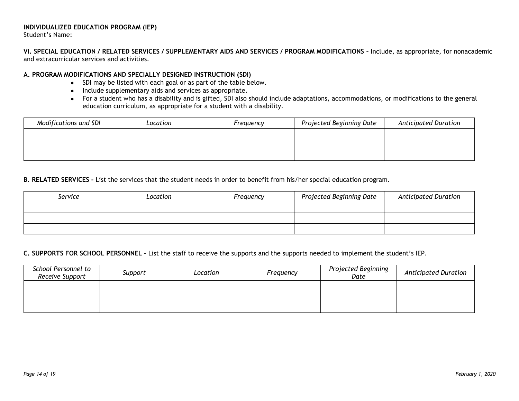# **INDIVIDUALIZED EDUCATION PROGRAM (IEP)**

Student's Name:

**VI. SPECIAL EDUCATION / RELATED SERVICES / SUPPLEMENTARY AIDS AND SERVICES / PROGRAM MODIFICATIONS –** Include, as appropriate, for nonacademic and extracurricular services and activities.

# **A. PROGRAM MODIFICATIONS AND SPECIALLY DESIGNED INSTRUCTION (SDI)**

- SDI may be listed with each goal or as part of the table below.
- Include supplementary aids and services as appropriate.
- For a student who has a disability and is gifted, SDI also should include adaptations, accommodations, or modifications to the general education curriculum, as appropriate for a student with a disability.

| Modifications and SDI | Location | Frequency | Projected Beginning Date | <b>Anticipated Duration</b> |
|-----------------------|----------|-----------|--------------------------|-----------------------------|
|                       |          |           |                          |                             |
|                       |          |           |                          |                             |
|                       |          |           |                          |                             |

**B. RELATED SERVICES –** List the services that the student needs in order to benefit from his/her special education program.

| Service | Location | Frequency | Projected Beginning Date | <b>Anticipated Duration</b> |
|---------|----------|-----------|--------------------------|-----------------------------|
|         |          |           |                          |                             |
|         |          |           |                          |                             |
|         |          |           |                          |                             |

# **C. SUPPORTS FOR SCHOOL PERSONNEL –** List the staff to receive the supports and the supports needed to implement the student's IEP.

| School Personnel to<br>Receive Support | Support | Location | Frequency | Projected Beginning<br>Date | <b>Anticipated Duration</b> |
|----------------------------------------|---------|----------|-----------|-----------------------------|-----------------------------|
|                                        |         |          |           |                             |                             |
|                                        |         |          |           |                             |                             |
|                                        |         |          |           |                             |                             |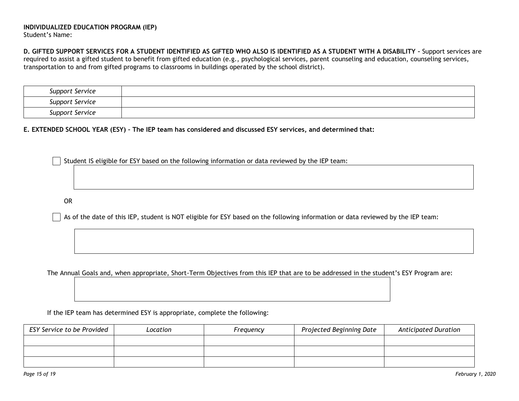**D. GIFTED SUPPORT SERVICES FOR A STUDENT IDENTIFIED AS GIFTED WHO ALSO IS IDENTIFIED AS A STUDENT WITH A DISABILITY –** Support services are required to assist a gifted student to benefit from gifted education (e.g., psychological services, parent counseling and education, counseling services, transportation to and from gifted programs to classrooms in buildings operated by the school district).

| Support Service |  |
|-----------------|--|
| Support Service |  |
| Support Service |  |

**E. EXTENDED SCHOOL YEAR (ESY) – The IEP team has considered and discussed ESY services, and determined that:**

Student IS eligible for ESY based on the following information or data reviewed by the IEP team:

OR

As of the date of this IEP, student is NOT eligible for ESY based on the following information or data reviewed by the IEP team:

The Annual Goals and, when appropriate, Short-Term Objectives from this IEP that are to be addressed in the student's ESY Program are:

If the IEP team has determined ESY is appropriate, complete the following:

| ESY Service to be Provided | Location | Frequency | Projected Beginning Date | <b>Anticipated Duration</b> |
|----------------------------|----------|-----------|--------------------------|-----------------------------|
|                            |          |           |                          |                             |
|                            |          |           |                          |                             |
|                            |          |           |                          |                             |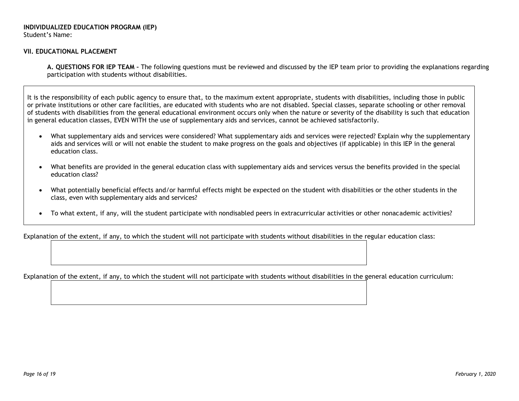#### **VII. EDUCATIONAL PLACEMENT**

**A. QUESTIONS FOR IEP TEAM –** The following questions must be reviewed and discussed by the IEP team prior to providing the explanations regarding participation with students without disabilities.

It is the responsibility of each public agency to ensure that, to the maximum extent appropriate, students with disabilities, including those in public or private institutions or other care facilities, are educated with students who are not disabled. Special classes, separate schooling or other removal of students with disabilities from the general educational environment occurs only when the nature or severity of the disability is such that education in general education classes, EVEN WITH the use of supplementary aids and services, cannot be achieved satisfactorily.

- What supplementary aids and services were considered? What supplementary aids and services were rejected? Explain why the supplementary aids and services will or will not enable the student to make progress on the goals and objectives (if applicable) in this IEP in the general education class.
- What benefits are provided in the general education class with supplementary aids and services versus the benefits provided in the special education class?
- What potentially beneficial effects and/or harmful effects might be expected on the student with disabilities or the other students in the class, even with supplementary aids and services?
- To what extent, if any, will the student participate with nondisabled peers in extracurricular activities or other nonacademic activities?

Explanation of the extent, if any, to which the student will not participate with students without disabilities in the regular education class:

Explanation of the extent, if any, to which the student will not participate with students without disabilities in the general education curriculum: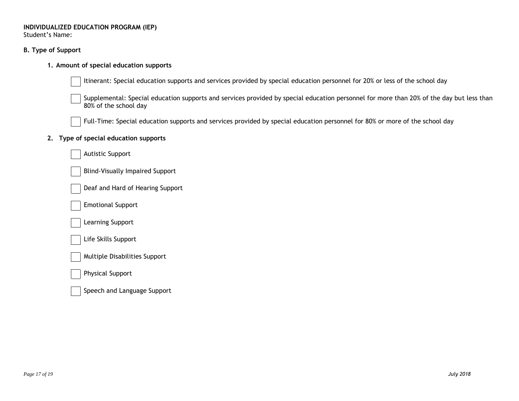**B. Type of Support**

## **1. Amount of special education supports**

Itinerant: Special education supports and services provided by special education personnel for 20% or less of the school day

Supplemental: Special education supports and services provided by special education personnel for more than 20% of the day but less than 80% of the school day

Full-Time: Special education supports and services provided by special education personnel for 80% or more of the school day

## **2. Type of special education supports**

| <b>Autistic Support</b>                |
|----------------------------------------|
| <b>Blind-Visually Impaired Support</b> |
| Deaf and Hard of Hearing Support       |
| <b>Emotional Support</b>               |
| Learning Support                       |
| Life Skills Support                    |
| <b>Multiple Disabilities Support</b>   |
| <b>Physical Support</b>                |

Speech and Language Support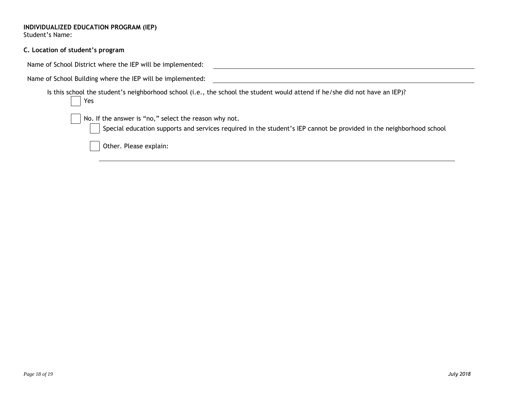| C. Location of student's program |
|----------------------------------|
|----------------------------------|

| Name of School District where the IEP will be implemented:                                                                                                                   |
|------------------------------------------------------------------------------------------------------------------------------------------------------------------------------|
| Name of School Building where the IEP will be implemented:                                                                                                                   |
| Is this school the student's neighborhood school (i.e., the school the student would attend if he/she did not have an IEP)?<br>$ $ Yes                                       |
| No. If the answer is "no," select the reason why not.<br>Special education supports and services required in the student's IEP cannot be provided in the neighborhood school |
| Other. Please explain:                                                                                                                                                       |